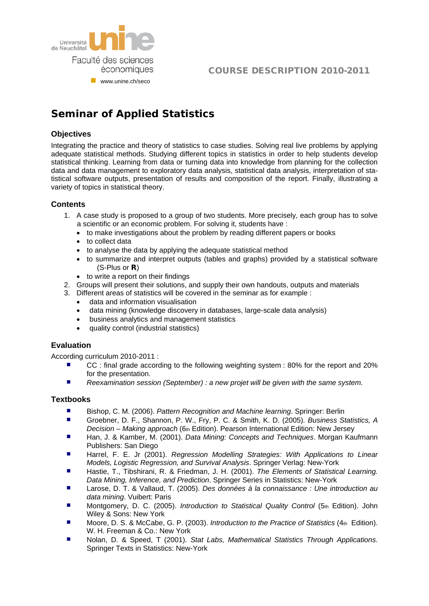

# COURSE DESCRIPTION 2010-2011

# **Seminar of Applied Statistics**

## **Objectives**

Integrating the practice and theory of statistics to case studies. Solving real live problems by applying adequate statistical methods. Studying different topics in statistics in order to help students develop statistical thinking. Learning from data or turning data into knowledge from planning for the collection data and data management to exploratory data analysis, statistical data analysis, interpretation of statistical software outputs, presentation of results and composition of the report. Finally, illustrating a variety of topics in statistical theory.

#### **Contents**

- 1. A case study is proposed to a group of two students. More precisely, each group has to solve a scientific or an economic problem. For solving it, students have :
	- to make investigations about the problem by reading different papers or books
	- to collect data
	- to analyse the data by applying the adequate statistical method
	- to summarize and interpret outputs (tables and graphs) provided by a statistical software (S-Plus or **R**)
	- to write a report on their findings
- 2. Groups will present their solutions, and supply their own handouts, outputs and materials
- 3. Different areas of statistics will be covered in the seminar as for example :
	- data and information visualisation
	- data mining (knowledge discovery in databases, large-scale data analysis)
	- business analytics and management statistics
	- quality control (industrial statistics)

#### **Evaluation**

According curriculum 2010-2011 :

- CC : final grade according to the following weighting system : 80% for the report and 20% for the presentation.
- *Reexamination session (September) : a new projet will be given with the same system.*

#### **Textbooks**

- Bishop, C. M. (2006). *Pattern Recognition and Machine learning*. Springer: Berlin
- Groebner, D. F., Shannon, P. W., Fry, P. C. & Smith, K. D. (2005). Business Statistics, A *Decision – Making approach* (6th Edition). Pearson International Edition: New Jersey
- Han, J. & Kamber, M. (2001). *Data Mining: Concepts and Techniques*. Morgan Kaufmann Publishers: San Diego
- Harrel, F. E. Jr (2001). *Regression Modelling Strategies: With Applications to Linear Models, Logistic Regression, and Survival Analysis*. Springer Verlag: New-York
- Hastie, T., Tibshirani, R. & Friedman, J. H. (2001). *The Elements of Statistical Learning. Data Mining, Inference, and Prediction*. Springer Series in Statistics: New-York
- Larose, D. T. & Vallaud, T. (2005). *Des données à la connaissance : Une introduction au data mining*. Vuibert: Paris
- Montgomery, D. C. (2005). *Introduction to Statistical Quality Control* (5th Edition). John Wiley & Sons: New York
- Moore, D. S. & McCabe, G. P. (2003). *Introduction to the Practice of Statistics* (4th Edition). W. H. Freeman & Co.: New York
- Nolan, D. & Speed, T (2001). *Stat Labs, Mathematical Statistics Through Applications*. Springer Texts in Statistics: New-York